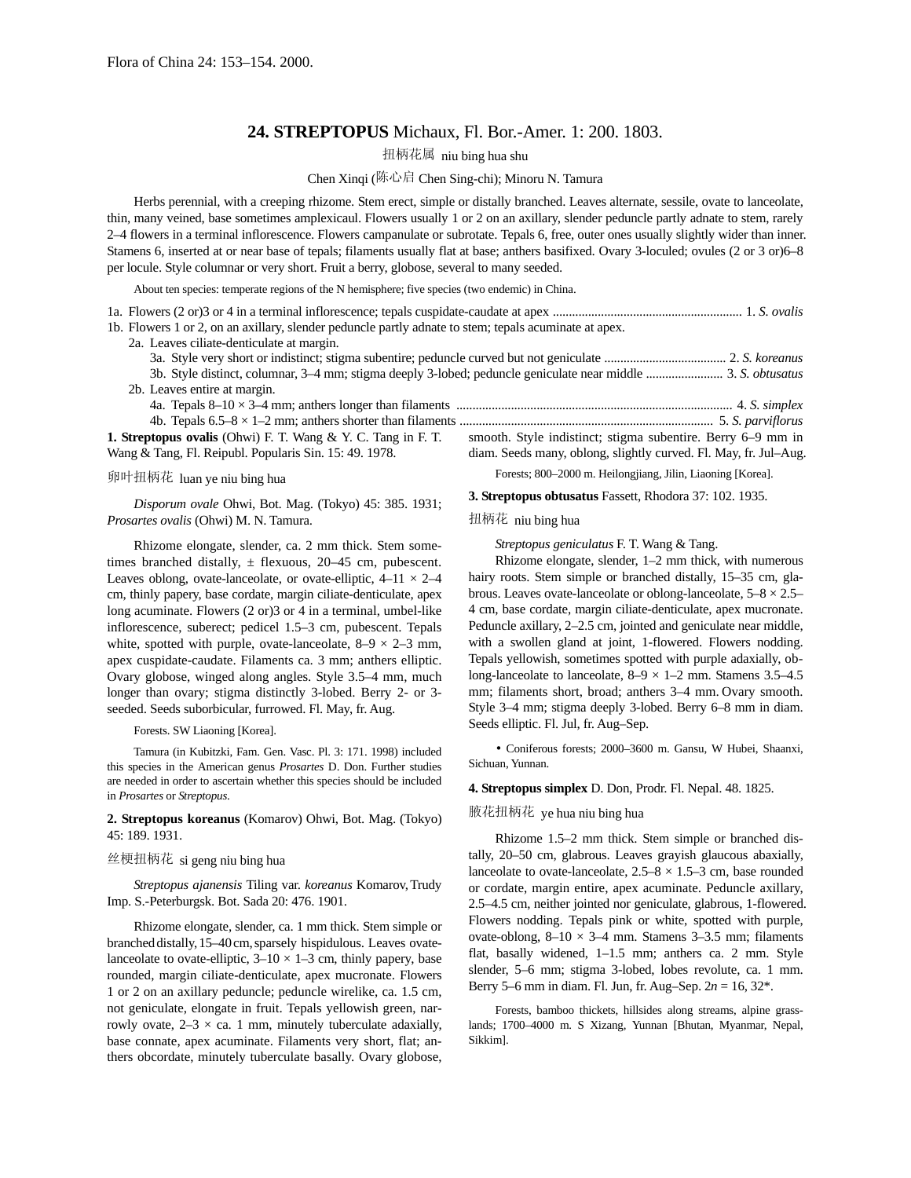# **24. STREPTOPUS** Michaux, Fl. Bor.-Amer. 1: 200. 1803.

扭柄花属 niu bing hua shu

Chen Xinqi (陈心启 Chen Sing-chi); Minoru N. Tamura

Herbs perennial, with a creeping rhizome. Stem erect, simple or distally branched. Leaves alternate, sessile, ovate to lanceolate, thin, many veined, base sometimes amplexicaul. Flowers usually 1 or 2 on an axillary, slender peduncle partly adnate to stem, rarely 2–4 flowers in a terminal inflorescence. Flowers campanulate or subrotate. Tepals 6, free, outer ones usually slightly wider than inner. Stamens 6, inserted at or near base of tepals; filaments usually flat at base; anthers basifixed. Ovary 3-loculed; ovules (2 or 3 or)6–8 per locule. Style columnar or very short. Fruit a berry, globose, several to many seeded.

About ten species: temperate regions of the N hemisphere; five species (two endemic) in China.

1a. Flowers (2 or)3 or 4 in a terminal inflorescence; tepals cuspidate-caudate at apex ........................................................... 1. *S. ovalis* 1b. Flowers 1 or 2, on an axillary, slender peduncle partly adnate to stem; tepals acuminate at apex.

Wang & Tang, Fl. Reipubl. Popularis Sin. 15: 49. 1978.

## 卵叶扭柄花 luan ye niu bing hua

*Disporum ovale* Ohwi, Bot. Mag. (Tokyo) 45: 385. 1931; *Prosartes ovalis* (Ohwi) M. N. Tamura.

Rhizome elongate, slender, ca. 2 mm thick. Stem sometimes branched distally,  $\pm$  flexuous, 20–45 cm, pubescent. Leaves oblong, ovate-lanceolate, or ovate-elliptic,  $4-11 \times 2-4$ cm, thinly papery, base cordate, margin ciliate-denticulate, apex long acuminate. Flowers (2 or)3 or 4 in a terminal, umbel-like inflorescence, suberect; pedicel 1.5–3 cm, pubescent. Tepals white, spotted with purple, ovate-lanceolate,  $8-9 \times 2-3$  mm, apex cuspidate-caudate. Filaments ca. 3 mm; anthers elliptic. Ovary globose, winged along angles. Style 3.5–4 mm, much longer than ovary; stigma distinctly 3-lobed. Berry 2- or 3 seeded. Seeds suborbicular, furrowed. Fl. May, fr. Aug.

Forests. SW Liaoning [Korea].

Tamura (in Kubitzki, Fam. Gen. Vasc. Pl. 3: 171. 1998) included this species in the American genus *Prosartes* D. Don. Further studies are needed in order to ascertain whether this species should be included in *Prosartes* or *Streptopus*.

**2. Streptopus koreanus** (Komarov) Ohwi, Bot. Mag. (Tokyo) 45: 189. 1931.

# 丝梗扭柄花 si geng niu bing hua

*Streptopus ajanensis* Tiling var. *koreanus* Komarov,Trudy Imp. S.-Peterburgsk. Bot. Sada 20: 476. 1901.

Rhizome elongate, slender, ca. 1 mm thick. Stem simple or branched distally, 15–40cm, sparsely hispidulous. Leaves ovatelanceolate to ovate-elliptic,  $3-10 \times 1-3$  cm, thinly papery, base rounded, margin ciliate-denticulate, apex mucronate. Flowers 1 or 2 on an axillary peduncle; peduncle wirelike, ca. 1.5 cm, not geniculate, elongate in fruit. Tepals yellowish green, narrowly ovate,  $2-3 \times ca$ . 1 mm, minutely tuberculate adaxially, base connate, apex acuminate. Filaments very short, flat; anthers obcordate, minutely tuberculate basally. Ovary globose, diam. Seeds many, oblong, slightly curved. Fl. May, fr. Jul–Aug. Forests; 800–2000 m. Heilongjiang, Jilin, Liaoning [Korea].

**3. Streptopus obtusatus** Fassett, Rhodora 37: 102. 1935.

#### 扭柄花 niu bing hua

*Streptopus geniculatus* F. T. Wang & Tang.

Rhizome elongate, slender, 1–2 mm thick, with numerous hairy roots. Stem simple or branched distally, 15–35 cm, glabrous. Leaves ovate-lanceolate or oblong-lanceolate,  $5-8 \times 2.5-$ 4 cm, base cordate, margin ciliate-denticulate, apex mucronate. Peduncle axillary, 2–2.5 cm, jointed and geniculate near middle, with a swollen gland at joint, 1-flowered. Flowers nodding. Tepals yellowish, sometimes spotted with purple adaxially, oblong-lanceolate to lanceolate,  $8-9 \times 1-2$  mm. Stamens 3.5–4.5 mm; filaments short, broad; anthers 3–4 mm. Ovary smooth. Style 3–4 mm; stigma deeply 3-lobed. Berry 6–8 mm in diam. Seeds elliptic. Fl. Jul, fr. Aug–Sep.

• Coniferous forests; 2000–3600 m. Gansu, W Hubei, Shaanxi, Sichuan, Yunnan.

**4. Streptopus simplex** D. Don, Prodr. Fl. Nepal. 48. 1825.

## 腋花扭柄花 ye hua niu bing hua

Rhizome 1.5–2 mm thick. Stem simple or branched distally, 20–50 cm, glabrous. Leaves grayish glaucous abaxially, lanceolate to ovate-lanceolate,  $2.5-8 \times 1.5-3$  cm, base rounded or cordate, margin entire, apex acuminate. Peduncle axillary, 2.5–4.5 cm, neither jointed nor geniculate, glabrous, 1-flowered. Flowers nodding. Tepals pink or white, spotted with purple, ovate-oblong,  $8-10 \times 3-4$  mm. Stamens 3-3.5 mm; filaments flat, basally widened, 1–1.5 mm; anthers ca. 2 mm. Style slender, 5–6 mm; stigma 3-lobed, lobes revolute, ca. 1 mm. Berry 5–6 mm in diam. Fl. Jun, fr. Aug–Sep. 2*n* = 16, 32\*.

Forests, bamboo thickets, hillsides along streams, alpine grasslands; 1700–4000 m. S Xizang, Yunnan [Bhutan, Myanmar, Nepal, Sikkim].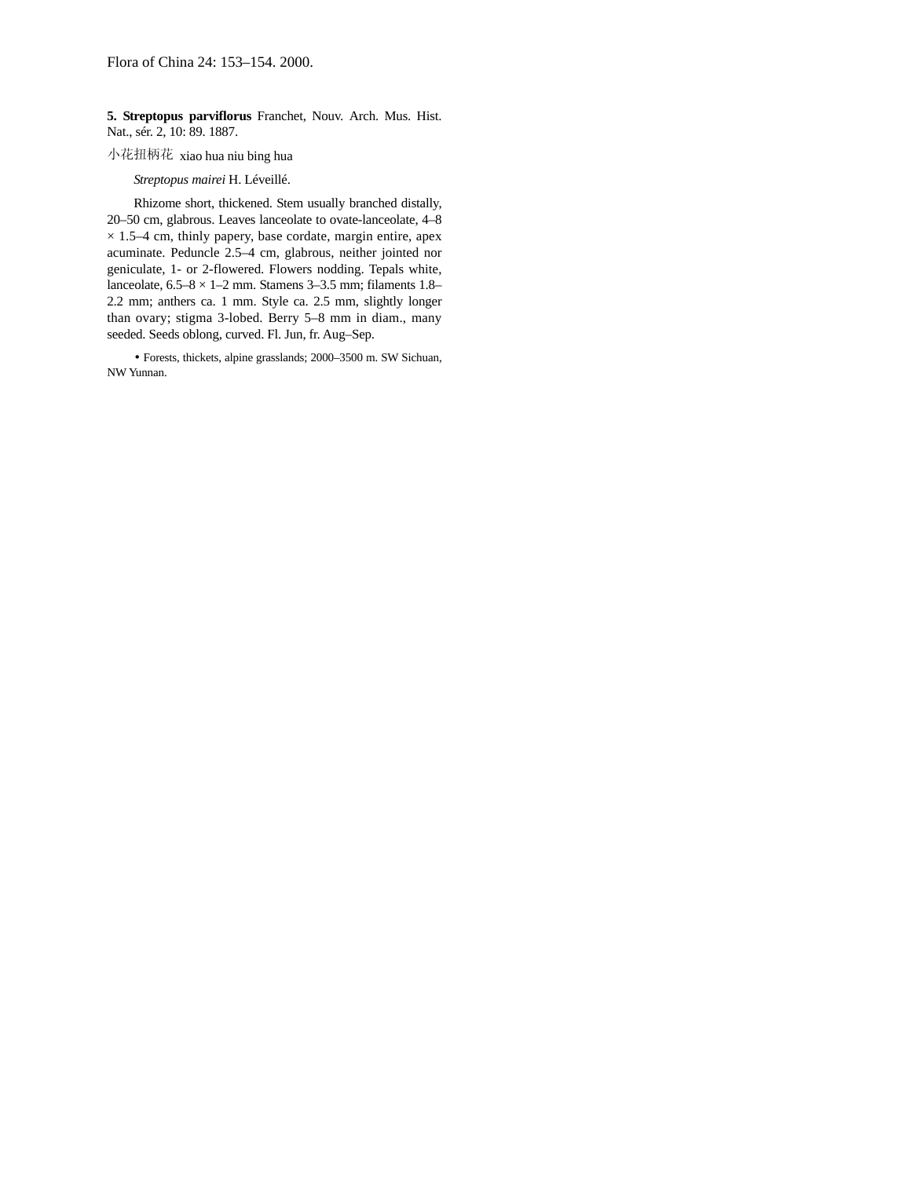**5. Streptopus parviflorus** Franchet, Nouv. Arch. Mus. Hist. Nat., sér. 2, 10: 89. 1887.

## 小花扭柄花 xiao hua niu bing hua

## *Streptopus mairei* H. Léveillé.

Rhizome short, thickened. Stem usually branched distally, 20–50 cm, glabrous. Leaves lanceolate to ovate-lanceolate, 4–8  $\times$  1.5–4 cm, thinly papery, base cordate, margin entire, apex acuminate. Peduncle 2.5–4 cm, glabrous, neither jointed nor geniculate, 1- or 2-flowered. Flowers nodding. Tepals white, lanceolate,  $6.5-8 \times 1-2$  mm. Stamens 3-3.5 mm; filaments 1.8-2.2 mm; anthers ca. 1 mm. Style ca. 2.5 mm, slightly longer than ovary; stigma 3-lobed. Berry 5–8 mm in diam., many seeded. Seeds oblong, curved. Fl. Jun, fr. Aug–Sep.

• Forests, thickets, alpine grasslands; 2000–3500 m. SW Sichuan, NW Yunnan.